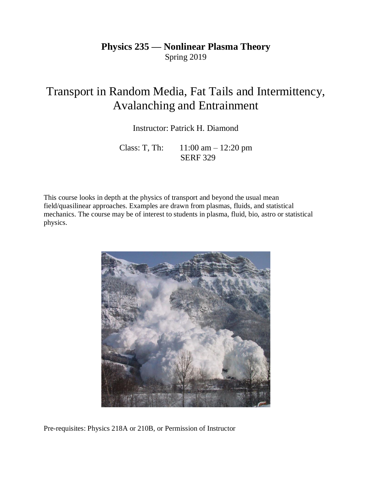# **Physics 235 — Nonlinear Plasma Theory** Spring 2019

# Transport in Random Media, Fat Tails and Intermittency, Avalanching and Entrainment

Instructor: Patrick H. Diamond

Class: T, Th: 11:00 am – 12:20 pm SERF 329

This course looks in depth at the physics of transport and beyond the usual mean field/quasilinear approaches. Examples are drawn from plasmas, fluids, and statistical mechanics. The course may be of interest to students in plasma, fluid, bio, astro or statistical physics.



Pre-requisites: Physics 218A or 210B, or Permission of Instructor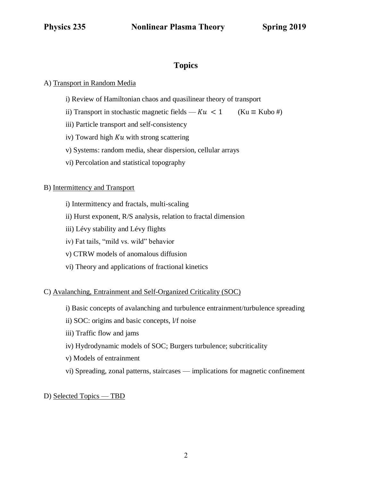### **Topics**

#### A) Transport in Random Media

- i) Review of Hamiltonian chaos and quasilinear theory of transport
- ii) Transport in stochastic magnetic fields  $Ku < 1$  (Ku  $\equiv$  Kubo #)
- iii) Particle transport and self-consistency
- iv) Toward high  $Ku$  with strong scattering
- v) Systems: random media, shear dispersion, cellular arrays
- vi) Percolation and statistical topography

#### B) Intermittency and Transport

- i) Intermittency and fractals, multi-scaling
- ii) Hurst exponent, R/S analysis, relation to fractal dimension
- iii) Lévy stability and Lévy flights
- iv) Fat tails, "mild vs. wild" behavior
- v) CTRW models of anomalous diffusion
- vi) Theory and applications of fractional kinetics

#### C) Avalanching, Entrainment and Self-Organized Criticality (SOC)

- i) Basic concepts of avalanching and turbulence entrainment/turbulence spreading
- ii) SOC: origins and basic concepts, l/f noise
- iii) Traffic flow and jams
- iv) Hydrodynamic models of SOC; Burgers turbulence; subcriticality
- v) Models of entrainment
- vi) Spreading, zonal patterns, staircases implications for magnetic confinement

#### D) Selected Topics — TBD